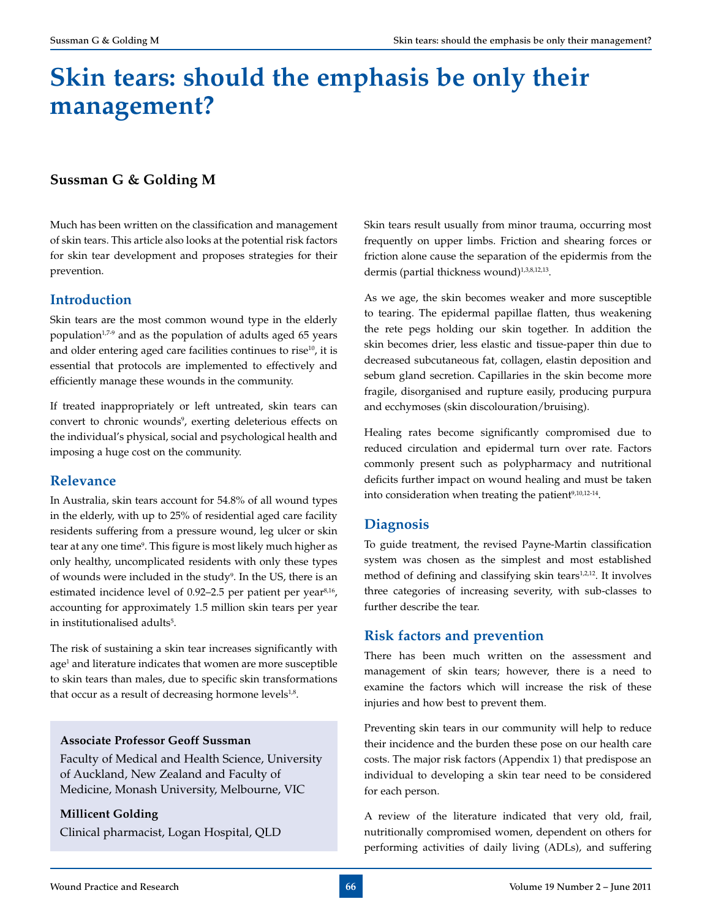# **Skin tears: should the emphasis be only their management?**

# **Sussman G & Golding M**

Much has been written on the classification and management of skin tears. This article also looks at the potential risk factors for skin tear development and proposes strategies for their prevention.

# **Introduction**

Skin tears are the most common wound type in the elderly population<sup>1,7-9</sup> and as the population of adults aged 65 years and older entering aged care facilities continues to rise<sup>10</sup>, it is essential that protocols are implemented to effectively and efficiently manage these wounds in the community.

If treated inappropriately or left untreated, skin tears can convert to chronic wounds<sup>9</sup>, exerting deleterious effects on the individual's physical, social and psychological health and imposing a huge cost on the community.

## **Relevance**

In Australia, skin tears account for 54.8% of all wound types in the elderly, with up to 25% of residential aged care facility residents suffering from a pressure wound, leg ulcer or skin tear at any one time<sup>9</sup>. This figure is most likely much higher as only healthy, uncomplicated residents with only these types of wounds were included in the study<sup>9</sup>. In the US, there is an estimated incidence level of 0.92–2.5 per patient per year<sup>8,16</sup>, accounting for approximately 1.5 million skin tears per year in institutionalised adults<sup>5</sup>.

The risk of sustaining a skin tear increases significantly with age<sup>1</sup> and literature indicates that women are more susceptible to skin tears than males, due to specific skin transformations that occur as a result of decreasing hormone levels $1.8$ .

#### **Associate Professor Geoff Sussman**

Faculty of Medical and Health Science, University of Auckland, New Zealand and Faculty of Medicine, Monash University, Melbourne, VIC

#### **Millicent Golding**

Clinical pharmacist, Logan Hospital, QLD

Skin tears result usually from minor trauma, occurring most frequently on upper limbs. Friction and shearing forces or friction alone cause the separation of the epidermis from the dermis (partial thickness wound)<sup>1,3,8,12,13</sup>.

As we age, the skin becomes weaker and more susceptible to tearing. The epidermal papillae flatten, thus weakening the rete pegs holding our skin together. In addition the skin becomes drier, less elastic and tissue-paper thin due to decreased subcutaneous fat, collagen, elastin deposition and sebum gland secretion. Capillaries in the skin become more fragile, disorganised and rupture easily, producing purpura and ecchymoses (skin discolouration/bruising).

Healing rates become significantly compromised due to reduced circulation and epidermal turn over rate. Factors commonly present such as polypharmacy and nutritional deficits further impact on wound healing and must be taken into consideration when treating the patient $9,10,12-14$ .

# **Diagnosis**

To guide treatment, the revised Payne-Martin classification system was chosen as the simplest and most established method of defining and classifying skin tears<sup>1,2,12</sup>. It involves three categories of increasing severity, with sub-classes to further describe the tear.

# **Risk factors and prevention**

There has been much written on the assessment and management of skin tears; however, there is a need to examine the factors which will increase the risk of these injuries and how best to prevent them.

Preventing skin tears in our community will help to reduce their incidence and the burden these pose on our health care costs. The major risk factors (Appendix 1) that predispose an individual to developing a skin tear need to be considered for each person.

A review of the literature indicated that very old, frail, nutritionally compromised women, dependent on others for performing activities of daily living (ADLs), and suffering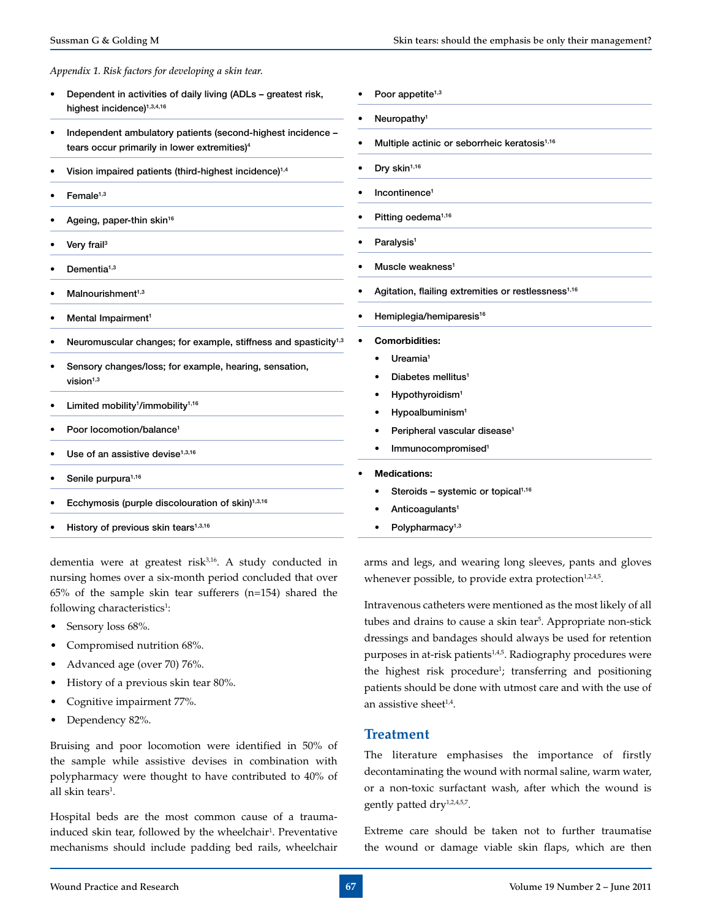#### *Appendix 1. Risk factors for developing a skin tear.*

- Dependent in activities of daily living (ADLs greatest risk, highest incidence)<sup>1,3,4,16</sup>
- Independent ambulatory patients (second-highest incidence tears occur primarily in lower extremities)<sup>4</sup>
- Vision impaired patients (third-highest incidence)<sup>1,4</sup>
- Female $1,3$
- Ageing, paper-thin skin<sup>16</sup>
- Very frail<sup>3</sup>
- Dementia $1,3$
- Malnourishment $1,3$
- Mental Impairment<sup>1</sup>
- Neuromuscular changes; for example, stiffness and spasticity<sup>1,3</sup>
- Sensory changes/loss; for example, hearing, sensation,  $vision<sup>1,3</sup>$
- Limited mobility<sup>1</sup>/immobility<sup>1,16</sup>
- Poor locomotion/balance<sup>1</sup>
- Use of an assistive devise $1,3,16$
- Senile purpura<sup>1,16</sup>
- Ecchymosis (purple discolouration of skin) $1,3,16$
- History of previous skin tears $1,3,16$

dementia were at greatest risk3,16. A study conducted in nursing homes over a six-month period concluded that over 65% of the sample skin tear sufferers (n=154) shared the following characteristics<sup>1</sup>:

- Sensory loss 68%.
- Compromised nutrition 68%.
- Advanced age (over 70) 76%.
- History of a previous skin tear 80%.
- • Cognitive impairment 77%.
- Dependency 82%.

Bruising and poor locomotion were identified in 50% of the sample while assistive devises in combination with polypharmacy were thought to have contributed to 40% of all skin tears<sup>1</sup>.

Hospital beds are the most common cause of a traumainduced skin tear, followed by the wheelchair<sup>1</sup>. Preventative mechanisms should include padding bed rails, wheelchair

- Poor appetite<sup>1,3</sup>
- Neuropathy<sup>1</sup>
- Multiple actinic or seborrheic keratosis<sup>1,16</sup>
- Dry skin<sup>1,16</sup>
- Incontinence<sup>1</sup>
- Pitting oedema<sup>1,16</sup>
- Paralysis<sup>1</sup>
- Muscle weakness<sup>1</sup>
- Agitation, flailing extremities or restlessness<sup>1,16</sup>
- Hemiplegia/hemiparesis<sup>16</sup>
- **Comorbidities:** 
	- Ureamia<sup>1</sup>
	- Diabetes mellitus<sup>1</sup>
	- Hypothyroidism<sup>1</sup>
	- Hypoalbuminism<sup>1</sup>
	- Peripheral vascular disease<sup>1</sup>
	- Immunocompromised<sup>1</sup>
- **Medications:** 
	- Steroids systemic or topical $1,16$
	- Anticoagulants<sup>1</sup>
	- Polypharmacy<sup>1,3</sup>

arms and legs, and wearing long sleeves, pants and gloves whenever possible, to provide extra protection $1,2,4,5$ .

Intravenous catheters were mentioned as the most likely of all tubes and drains to cause a skin tear<sup>5</sup>. Appropriate non-stick dressings and bandages should always be used for retention purposes in at-risk patients<sup>1,4,5</sup>. Radiography procedures were the highest risk procedure<sup>1</sup>; transferring and positioning patients should be done with utmost care and with the use of an assistive sheet $1.4$ .

#### **Treatment**

The literature emphasises the importance of firstly decontaminating the wound with normal saline, warm water, or a non-toxic surfactant wash, after which the wound is gently patted dry<sup>1,2,4,5,7</sup>.

Extreme care should be taken not to further traumatise the wound or damage viable skin flaps, which are then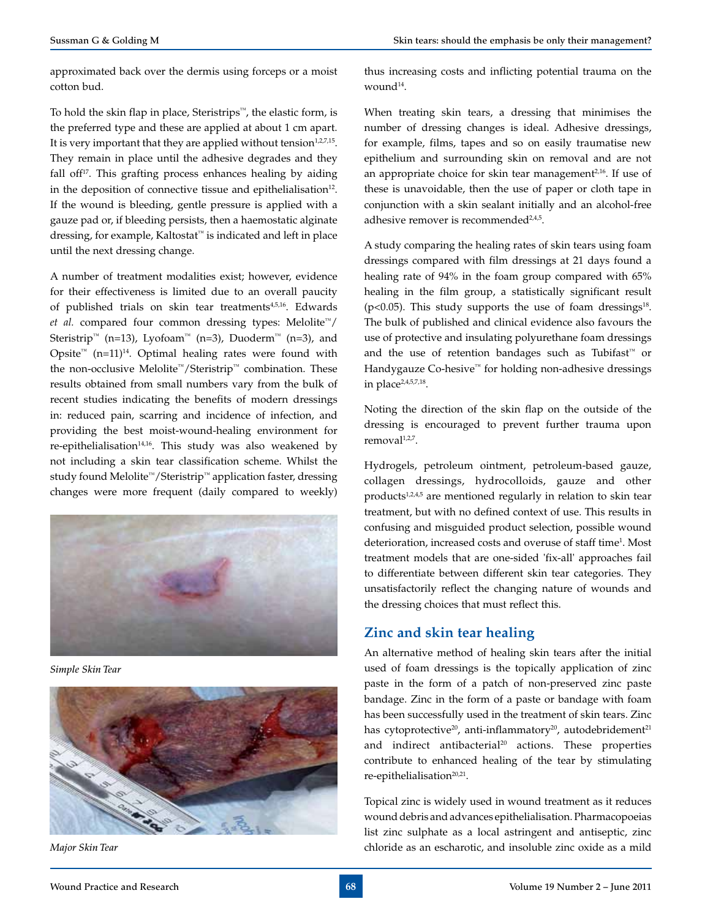approximated back over the dermis using forceps or a moist cotton bud.

To hold the skin flap in place, Steristrips™, the elastic form, is the preferred type and these are applied at about 1 cm apart. It is very important that they are applied without tension $1,2,7,15$ . They remain in place until the adhesive degrades and they fall off $17$ . This grafting process enhances healing by aiding in the deposition of connective tissue and epithelialisation<sup>12</sup>. If the wound is bleeding, gentle pressure is applied with a gauze pad or, if bleeding persists, then a haemostatic alginate dressing, for example, Kaltostat<sup>™</sup> is indicated and left in place until the next dressing change.

A number of treatment modalities exist; however, evidence for their effectiveness is limited due to an overall paucity of published trials on skin tear treatments<sup>4,5,16</sup>. Edwards *et al.* compared four common dressing types: Melolite™/ Steristrip™ (n=13), Lyofoam™ (n=3), Duoderm™ (n=3), and Opsite<sup>™</sup> (n=11)<sup>14</sup>. Optimal healing rates were found with the non-occlusive Melolite™/Steristrip™ combination. These results obtained from small numbers vary from the bulk of recent studies indicating the benefits of modern dressings in: reduced pain, scarring and incidence of infection, and providing the best moist-wound-healing environment for re-epithelialisation<sup>14,16</sup>. This study was also weakened by not including a skin tear classification scheme. Whilst the study found Melolite™/Steristrip™ application faster, dressing changes were more frequent (daily compared to weekly)



*Simple Skin Tear*



*Major Skin Tear*

thus increasing costs and inflicting potential trauma on the wound $14$ .

When treating skin tears, a dressing that minimises the number of dressing changes is ideal. Adhesive dressings, for example, films, tapes and so on easily traumatise new epithelium and surrounding skin on removal and are not an appropriate choice for skin tear management<sup>2,16</sup>. If use of these is unavoidable, then the use of paper or cloth tape in conjunction with a skin sealant initially and an alcohol-free adhesive remover is recommended $24.5$ .

A study comparing the healing rates of skin tears using foam dressings compared with film dressings at 21 days found a healing rate of 94% in the foam group compared with 65% healing in the film group, a statistically significant result ( $p$ <0.05). This study supports the use of foam dressings<sup>18</sup>. The bulk of published and clinical evidence also favours the use of protective and insulating polyurethane foam dressings and the use of retention bandages such as Tubifast™ or Handygauze Co-hesive™ for holding non-adhesive dressings in place $2,4,5,7,18$ .

Noting the direction of the skin flap on the outside of the dressing is encouraged to prevent further trauma upon removal<sup>1,2,7</sup>.

Hydrogels, petroleum ointment, petroleum-based gauze, collagen dressings, hydrocolloids, gauze and other products $1,2,4,5$  are mentioned regularly in relation to skin tear treatment, but with no defined context of use. This results in confusing and misguided product selection, possible wound deterioration, increased costs and overuse of staff time<sup>1</sup>. Most treatment models that are one-sided 'fix-all' approaches fail to differentiate between different skin tear categories. They unsatisfactorily reflect the changing nature of wounds and the dressing choices that must reflect this.

# **Zinc and skin tear healing**

An alternative method of healing skin tears after the initial used of foam dressings is the topically application of zinc paste in the form of a patch of non-preserved zinc paste bandage. Zinc in the form of a paste or bandage with foam has been successfully used in the treatment of skin tears. Zinc has cytoprotective<sup>20</sup>, anti-inflammatory<sup>20</sup>, autodebridement<sup>21</sup> and indirect antibacterial<sup>20</sup> actions. These properties contribute to enhanced healing of the tear by stimulating re-epithelialisation<sup>20,21</sup>.

Topical zinc is widely used in wound treatment as it reduces wound debris and advances epithelialisation. Pharmacopoeias list zinc sulphate as a local astringent and antiseptic, zinc chloride as an escharotic, and insoluble zinc oxide as a mild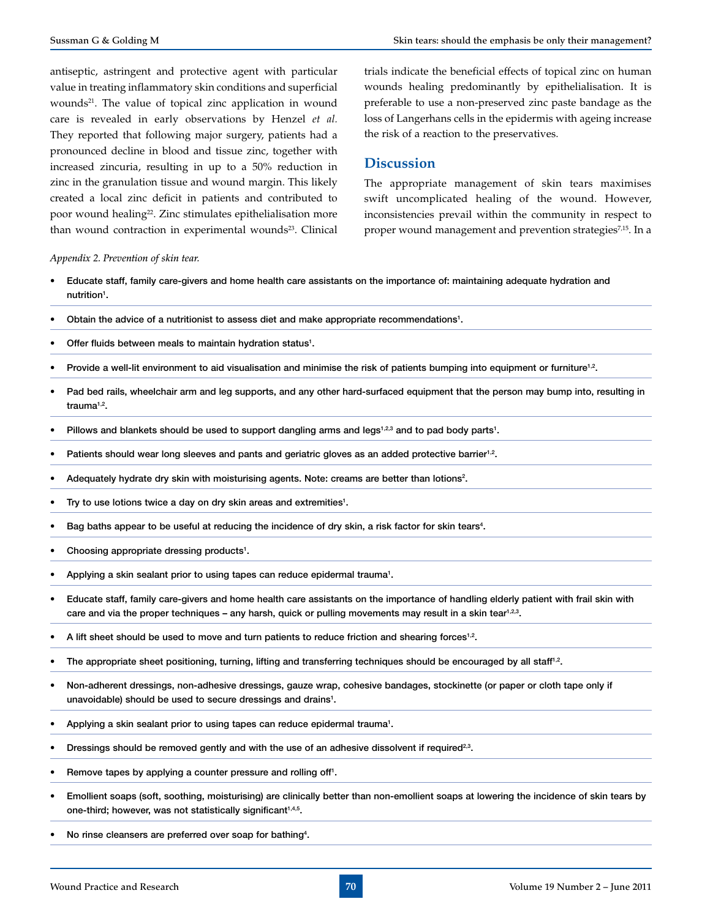antiseptic, astringent and protective agent with particular value in treating inflammatory skin conditions and superficial wounds<sup>21</sup>. The value of topical zinc application in wound care is revealed in early observations by Henzel *et al.* They reported that following major surgery, patients had a pronounced decline in blood and tissue zinc, together with increased zincuria, resulting in up to a 50% reduction in zinc in the granulation tissue and wound margin. This likely created a local zinc deficit in patients and contributed to poor wound healing<sup>22</sup>. Zinc stimulates epithelialisation more than wound contraction in experimental wounds<sup>23</sup>. Clinical trials indicate the beneficial effects of topical zinc on human wounds healing predominantly by epithelialisation. It is preferable to use a non-preserved zinc paste bandage as the loss of Langerhans cells in the epidermis with ageing increase the risk of a reaction to the preservatives.

# **Discussion**

The appropriate management of skin tears maximises swift uncomplicated healing of the wound. However, inconsistencies prevail within the community in respect to proper wound management and prevention strategies<sup>7,15</sup>. In a

#### *Appendix 2. Prevention of skin tear.*

- Educate staff, family care-givers and home health care assistants on the importance of: maintaining adequate hydration and nutrition<sup>1</sup>.
- Obtain the advice of a nutritionist to assess diet and make appropriate recommendations<sup>1</sup>.
- Offer fluids between meals to maintain hydration status<sup>1</sup>.
- Provide a well-lit environment to aid visualisation and minimise the risk of patients bumping into equipment or furniture<sup>1,2</sup>.
- Pad bed rails, wheelchair arm and leg supports, and any other hard-surfaced equipment that the person may bump into, resulting in trauma<sup>1,2</sup>.
- Pillows and blankets should be used to support dangling arms and legs<sup>1,2,3</sup> and to pad body parts<sup>1</sup>.
- Patients should wear long sleeves and pants and geriatric gloves as an added protective barrier<sup>1,2</sup>.
- Adequately hydrate dry skin with moisturising agents. Note: creams are better than lotions<sup>2</sup>.
- Try to use lotions twice a day on dry skin areas and extremities<sup>1</sup>.
- Bag baths appear to be useful at reducing the incidence of dry skin, a risk factor for skin tears<sup>4</sup>.
- Choosing appropriate dressing products<sup>1</sup>.
- Applying a skin sealant prior to using tapes can reduce epidermal trauma<sup>1</sup>.
- Educate staff, family care-givers and home health care assistants on the importance of handling elderly patient with frail skin with care and via the proper techniques – any harsh, quick or pulling movements may result in a skin tear<sup>1,2,3</sup>.
- A lift sheet should be used to move and turn patients to reduce friction and shearing forces<sup>1,2</sup>.
- The appropriate sheet positioning, turning, lifting and transferring techniques should be encouraged by all staff<sup>1,2</sup>.
- Non-adherent dressings, non-adhesive dressings, gauze wrap, cohesive bandages, stockinette (or paper or cloth tape only if unavoidable) should be used to secure dressings and drains<sup>1</sup>.
- Applying a skin sealant prior to using tapes can reduce epidermal trauma<sup>1</sup>.
- Dressings should be removed gently and with the use of an adhesive dissolvent if required<sup>2,3</sup>.
- Remove tapes by applying a counter pressure and rolling off<sup>1</sup>.
- Emollient soaps (soft, soothing, moisturising) are clinically better than non-emollient soaps at lowering the incidence of skin tears by one-third; however, was not statistically significant<sup>1,4,5</sup>.
- No rinse cleansers are preferred over soap for bathing<sup>4</sup>.